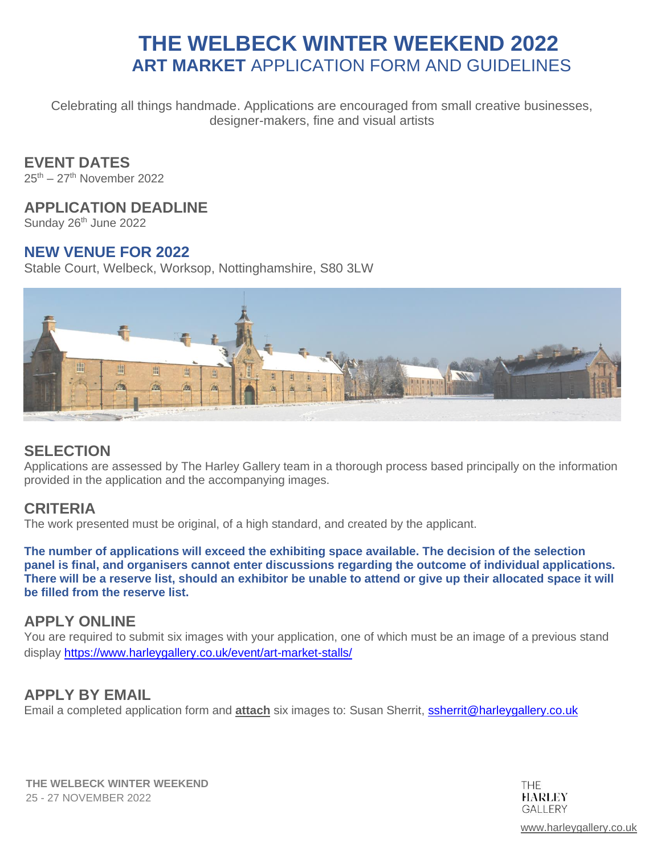Celebrating all things handmade. Applications are encouraged from small creative businesses, designer-makers, fine and visual artists

### **EVENT DATES**

25<sup>th</sup> – 27<sup>th</sup> November 2022

#### **APPLICATION DEADLINE**

Sunday 26<sup>th</sup> June 2022

#### **NEW VENUE FOR 2022**

Stable Court, Welbeck, Worksop, Nottinghamshire, S80 3LW



# **SELECTION**

Applications are assessed by The Harley Gallery team in a thorough process based principally on the information provided in the application and the accompanying images.

### **CRITERIA**

The work presented must be original, of a high standard, and created by the applicant.

**The number of applications will exceed the exhibiting space available. The decision of the selection panel is final, and organisers cannot enter discussions regarding the outcome of individual applications. There will be a reserve list, should an exhibitor be unable to attend or give up their allocated space it will be filled from the reserve list.**

### **APPLY ONLINE**

You are required to submit six images with your application, one of which must be an image of a previous stand display <https://www.harleygallery.co.uk/event/art-market-stalls/>

### **APPLY BY EMAIL**

Email a completed application form and **attach** six images to: Susan Sherrit, [ssherrit@harleygallery.co.uk](mailto:ssherrit@harleygallery.co.uk)

**THE WELBECK WINTER WEEKEND** 25 - 27 NOVEMBER 2022

**THF HARLEY GALLERY** 

[www.harleygallery.co.uk](http://www.harleygallery.co.uk/)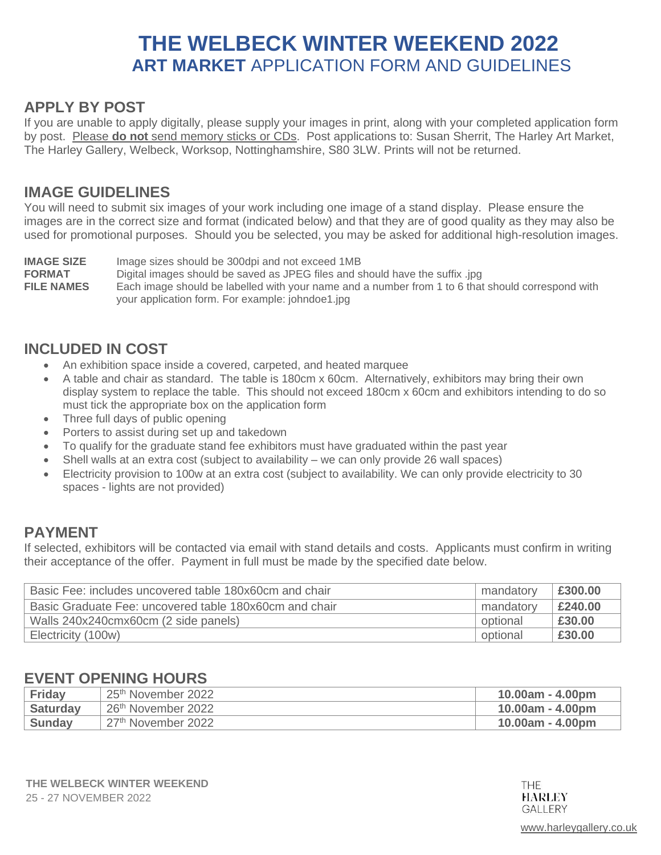# **APPLY BY POST**

If you are unable to apply digitally, please supply your images in print, along with your completed application form by post. Please **do not** send memory sticks or CDs. Post applications to: Susan Sherrit, The Harley Art Market, The Harley Gallery, Welbeck, Worksop, Nottinghamshire, S80 3LW. Prints will not be returned.

#### **IMAGE GUIDELINES**

You will need to submit six images of your work including one image of a stand display. Please ensure the images are in the correct size and format (indicated below) and that they are of good quality as they may also be used for promotional purposes. Should you be selected, you may be asked for additional high-resolution images.

**IMAGE SIZE** Image sizes should be 300dpi and not exceed 1MB **FORMAT** Digital images should be saved as JPEG files and should have the suffix .jpg<br>**FILE NAMES** Each image should be labelled with your name and a number from 1 to 6 that Each image should be labelled with your name and a number from 1 to 6 that should correspond with your application form. For example: johndoe1.jpg

# **INCLUDED IN COST**

- An exhibition space inside a covered, carpeted, and heated marquee
- A table and chair as standard. The table is 180cm x 60cm. Alternatively, exhibitors may bring their own display system to replace the table. This should not exceed 180cm x 60cm and exhibitors intending to do so must tick the appropriate box on the application form
- Three full days of public opening
- Porters to assist during set up and takedown
- To qualify for the graduate stand fee exhibitors must have graduated within the past year
- Shell walls at an extra cost (subject to availability we can only provide 26 wall spaces)
- Electricity provision to 100w at an extra cost (subject to availability. We can only provide electricity to 30 spaces - lights are not provided)

### **PAYMENT**

If selected, exhibitors will be contacted via email with stand details and costs. Applicants must confirm in writing their acceptance of the offer. Payment in full must be made by the specified date below.

| Basic Fee: includes uncovered table 180x60cm and chair | mandatory | £300.00 |
|--------------------------------------------------------|-----------|---------|
| Basic Graduate Fee: uncovered table 180x60cm and chair | mandatory | £240.00 |
| Walls 240x240cmx60cm (2 side panels)                   | optional  | £30.00  |
| Electricity (100w)                                     | optional  | £30.00  |

# **EVENT OPENING HOURS**

| Friday          | 25 <sup>th</sup> November 2022 | $10.00am - 4.00pm$ |
|-----------------|--------------------------------|--------------------|
| <b>Saturday</b> | 26 <sup>th</sup> November 2022 | $10.00am - 4.00pm$ |
| Sundav          | 27 <sup>th</sup> November 2022 | $10.00am - 4.00pm$ |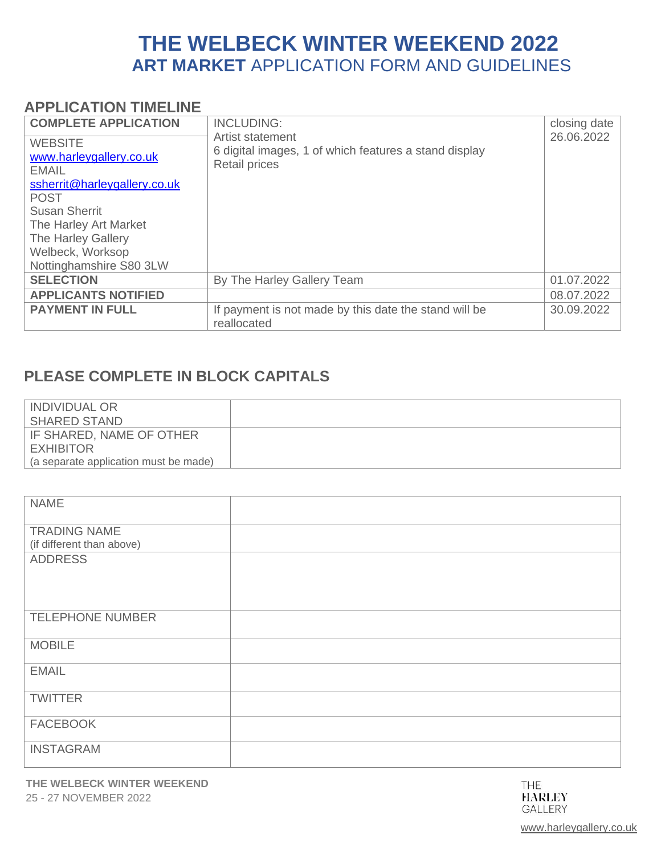### **APPLICATION TIMELINE**

| <b>COMPLETE APPLICATION</b><br><b>WEBSITE</b>                           | <b>INCLUDING:</b><br>Artist statement<br>6 digital images, 1 of which features a stand display | closing date<br>26.06.2022 |
|-------------------------------------------------------------------------|------------------------------------------------------------------------------------------------|----------------------------|
| www.harleygallery.co.uk<br><b>EMAIL</b><br>ssherrit@harleygallery.co.uk | <b>Retail prices</b>                                                                           |                            |
| <b>POST</b><br><b>Susan Sherrit</b>                                     |                                                                                                |                            |
| The Harley Art Market                                                   |                                                                                                |                            |
| The Harley Gallery                                                      |                                                                                                |                            |
| Welbeck, Worksop<br>Nottinghamshire S80 3LW                             |                                                                                                |                            |
| <b>SELECTION</b>                                                        | By The Harley Gallery Team                                                                     | 01.07.2022                 |
| <b>APPLICANTS NOTIFIED</b>                                              |                                                                                                | 08.07.2022                 |
| <b>PAYMENT IN FULL</b>                                                  | If payment is not made by this date the stand will be<br>reallocated                           | 30.09.2022                 |

# **PLEASE COMPLETE IN BLOCK CAPITALS**

| <b>INDIVIDUAL OR</b>                  |  |
|---------------------------------------|--|
| <b>SHARED STAND</b>                   |  |
| IF SHARED, NAME OF OTHER              |  |
| <b>EXHIBITOR</b>                      |  |
| (a separate application must be made) |  |

| <b>NAME</b>               |  |
|---------------------------|--|
| <b>TRADING NAME</b>       |  |
| (if different than above) |  |
| <b>ADDRESS</b>            |  |
|                           |  |
| <b>TELEPHONE NUMBER</b>   |  |
| <b>MOBILE</b>             |  |
| <b>EMAIL</b>              |  |
| <b>TWITTER</b>            |  |
| <b>FACEBOOK</b>           |  |
| <b>INSTAGRAM</b>          |  |

[www.harleygallery.co.uk](http://www.harleygallery.co.uk/)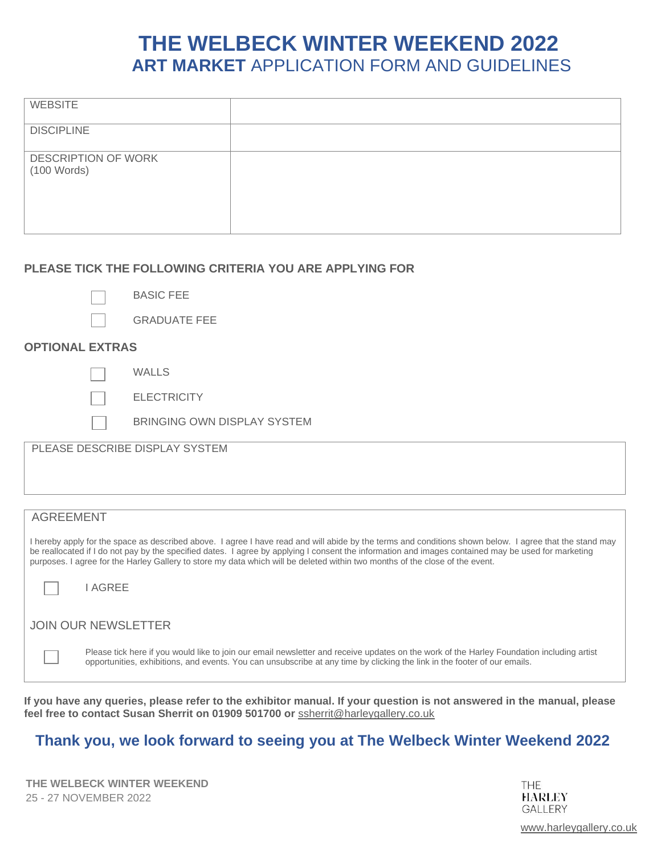| <b>WEBSITE</b>                       |  |
|--------------------------------------|--|
| <b>DISCIPLINE</b>                    |  |
| DESCRIPTION OF WORK<br>$(100$ Words) |  |

#### **PLEASE TICK THE FOLLOWING CRITERIA YOU ARE APPLYING FOR**

BASIC FEE

GRADUATE FEE

#### **OPTIONAL EXTRAS**

WALLS

**ELECTRICITY** 

BRINGING OWN DISPLAY SYSTEM

PLEASE DESCRIBE DISPLAY SYSTEM

# AGREEMENT I hereby apply for the space as described above. I agree I have read and will abide by the terms and conditions shown below. I agree that the stand may be reallocated if I do not pay by the specified dates. I agree by applying I consent the information and images contained may be used for marketing purposes. I agree for the Harley Gallery to store my data which will be deleted within two months of the close of the event. I AGREE JOIN OUR NEWSLETTER

Please tick here if you would like to join our email newsletter and receive updates on the work of the Harley Foundation including artist opportunities, exhibitions, and events. You can unsubscribe at any time by clicking the link in the footer of our emails.

**If you have any queries, please refer to the exhibitor manual. If your question is not answered in the manual, please feel free to contact Susan Sherrit on 01909 501700 or** [ssherrit@harleygallery.co.uk](mailto:ssherrit@harleygallery.co.uk) 

# **Thank you, we look forward to seeing you at The Welbeck Winter Weekend 2022**

**THE WELBECK WINTER WEEKEND** 25 - 27 NOVEMBER 2022

**THE HARLEY GALLERY** 

[www.harleygallery.co.uk](http://www.harleygallery.co.uk/)